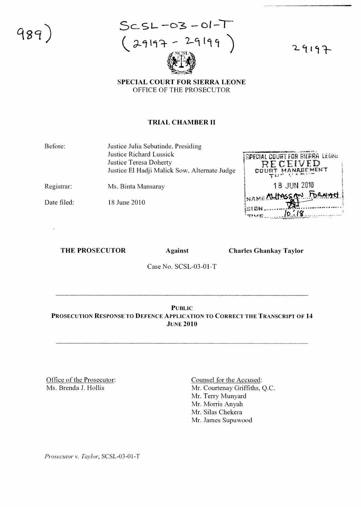

 $ScS-L-03-01-T$  $29197 - 29199$ 

29197

SPECIAL COURT FOR SIERRA LEONE OFFICE OF THE PROSECUTOR

#### TRIAL CHAMBER II

Before: Justice Julia Sebutinde, Presiding Justice Richard Lussick Justice Teresa Doherty Justice EI Hadji Malick Sow, Alternate Judge

Registrar: Ms. Binta Mansaray

Date filed: 18 June 2010

SPECIAL COURT FOR SIERRA LEONI RECEIVED MANABEMENT  $00U$ **18 JUN 2010** AME ALLIASS AN FORM  $10.18$ 

#### THE PROSECUTOR Against

Charles Ghankay Taylor

Case No. SCSL-03-01-T

PUBLIC PROSECUTION RESPONSE TO DEFENCE APPLICATION TO CORRECT THE TRANSCRIPT OF 14 JUNE 2010

Office of the Prosecutor: Ms. Brenda 1. Hollis

Counsel for the Accused: Mr. Courtenay Griffiths, Q.c. Mr. Terry Munyard Mr. Morris Anyah Mr. Silas Chekera Mr. James Supuwood

*Prosecutor* v. *Taylor,* SCSL-03-01-T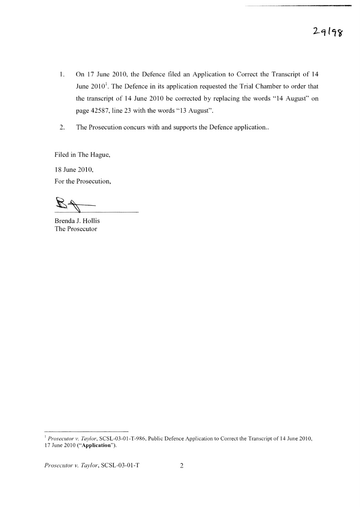- 1. On 17 June 2010, the Defence filed an Application to Correct the Transcript of 14 June  $2010<sup>1</sup>$ . The Defence in its application requested the Trial Chamber to order that the transcript of 14 June 2010 be corrected by replacing the words " 14 August" on page 42587, line 23 with the words "13 August".
- 2. The Prosecution concurs with and supports the Defence application..

Filed in The Hague,

18 June 2010, For the Prosecution,

Brenda J. Hollis The Prosecutor

<sup>1</sup> Prosecutor v. Taylor, SCSL-03-01-T-986, Public Defence Application to Correct the Transcript of 14 June 2010, 17 June 2010 ("Application").

*Prosecutor v. Taylor*, SCSL-03-01-T 2